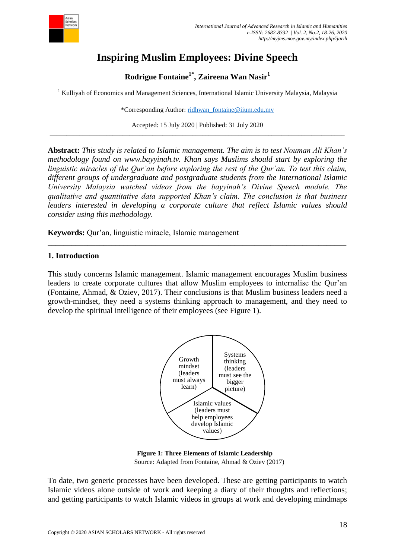

# **Inspiring Muslim Employees: Divine Speech**

**Rodrigue Fontaine1\* , Zaireena Wan Nasir<sup>1</sup>**

<sup>1</sup> Kulliyah of Economics and Management Sciences, International Islamic University Malaysia, Malaysia

\*Corresponding Author: [ridhwan\\_fontaine@iium.edu.my](mailto:ridhwan_fontaine@iium.edu.my)

Accepted: 15 July 2020 | Published: 31 July 2020 \_\_\_\_\_\_\_\_\_\_\_\_\_\_\_\_\_\_\_\_\_\_\_\_\_\_\_\_\_\_\_\_\_\_\_\_\_\_\_\_\_\_\_\_\_\_\_\_\_\_\_\_\_\_\_\_\_\_\_\_\_\_\_\_\_\_\_\_\_\_\_\_\_\_\_\_\_\_\_\_\_\_\_\_\_\_\_\_\_

**Abstract:** *This study is related to Islamic management. The aim is to test Nouman Ali Khan's methodology found on www.bayyinah.tv. Khan says Muslims should start by exploring the linguistic miracles of the Qur'an before exploring the rest of the Qur'an. To test this claim, different groups of undergraduate and postgraduate students from the International Islamic University Malaysia watched videos from the bayyinah's Divine Speech module. The qualitative and quantitative data supported Khan's claim. The conclusion is that business leaders interested in developing a corporate culture that reflect Islamic values should consider using this methodology.*

**Keywords:** Qur'an, linguistic miracle, Islamic management

## **1. Introduction**

This study concerns Islamic management. Islamic management encourages Muslim business leaders to create corporate cultures that allow Muslim employees to internalise the Qur'an (Fontaine, Ahmad, & Oziev, 2017). Their conclusions is that Muslim business leaders need a growth-mindset, they need a systems thinking approach to management, and they need to develop the spiritual intelligence of their employees (see Figure 1).

*\_\_\_\_\_\_\_\_\_\_\_\_\_\_\_\_\_\_\_\_\_\_\_\_\_\_\_\_\_\_\_\_\_\_\_\_\_\_\_\_\_\_\_\_\_\_\_\_\_\_\_\_\_\_\_\_\_\_\_\_\_\_\_\_\_\_\_\_\_\_\_\_\_\_\_*



 **Figure 1: Three Elements of Islamic Leadership** Source: Adapted from Fontaine, Ahmad & Oziev (2017)

To date, two generic processes have been developed. These are getting participants to watch Islamic videos alone outside of work and keeping a diary of their thoughts and reflections; and getting participants to watch Islamic videos in groups at work and developing mindmaps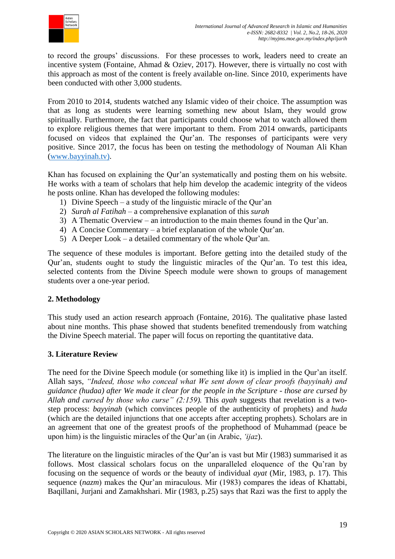

to record the groups' discussions. For these processes to work, leaders need to create an incentive system (Fontaine, Ahmad & Oziev, 2017). However, there is virtually no cost with this approach as most of the content is freely available on-line. Since 2010, experiments have been conducted with other 3,000 students.

From 2010 to 2014, students watched any Islamic video of their choice. The assumption was that as long as students were learning something new about Islam, they would grow spiritually. Furthermore, the fact that participants could choose what to watch allowed them to explore religious themes that were important to them. From 2014 onwards, participants focused on videos that explained the Qur'an. The responses of participants were very positive. Since 2017, the focus has been on testing the methodology of Nouman Ali Khan [\(www.bayyinah.tv\)](http://www.bayyinah.tv/).

Khan has focused on explaining the Qur'an systematically and posting them on his website. He works with a team of scholars that help him develop the academic integrity of the videos he posts online. Khan has developed the following modules:

- 1) Divine Speech a study of the linguistic miracle of the Qur'an
- 2) *Surah al Fatihah* a comprehensive explanation of this *surah*
- 3) A Thematic Overview an introduction to the main themes found in the Qur'an.
- 4) A Concise Commentary a brief explanation of the whole Qur'an.
- 5) A Deeper Look a detailed commentary of the whole Qur'an.

The sequence of these modules is important. Before getting into the detailed study of the Qur'an, students ought to study the linguistic miracles of the Qur'an. To test this idea, selected contents from the Divine Speech module were shown to groups of management students over a one-year period.

## **2. Methodology**

This study used an action research approach (Fontaine, 2016). The qualitative phase lasted about nine months. This phase showed that students benefited tremendously from watching the Divine Speech material. The paper will focus on reporting the quantitative data.

## **3. Literature Review**

The need for the Divine Speech module (or something like it) is implied in the Qur'an itself. Allah says, *"Indeed, those who conceal what We sent down of clear proofs (bayyinah) and guidance (hudaa) after We made it clear for the people in the Scripture - those are cursed by Allah and cursed by those who curse" (2:159).* This *ayah* suggests that revelation is a twostep process: *bayyinah* (which convinces people of the authenticity of prophets) and *huda* (which are the detailed injunctions that one accepts after accepting prophets). Scholars are in an agreement that one of the greatest proofs of the prophethood of Muhammad (peace be upon him) is the linguistic miracles of the Qur'an (in Arabic, *'ijaz*).

The literature on the linguistic miracles of the Qur'an is vast but Mir (1983) summarised it as follows. Most classical scholars focus on the unparalleled eloquence of the Qu'ran by focusing on the sequence of words or the beauty of individual *ayat* (Mir, 1983, p. 17). This sequence (*nazm*) makes the Qur'an miraculous. Mir (1983) compares the ideas of Khattabi, Baqillani, Jurjani and Zamakhshari. Mir (1983, p.25) says that Razi was the first to apply the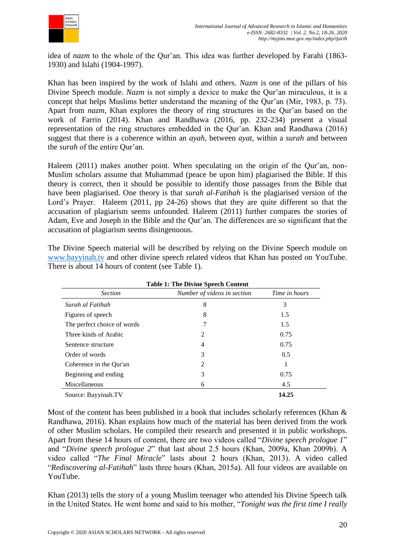

idea of *nazm* to the whole of the Qur'an. This idea was further developed by Farahi (1863- 1930) and Islahi (1904-1997).

Khan has been inspired by the work of Islahi and others. *Nazm* is one of the pillars of his Divine Speech module. *Nazm* is not simply a device to make the Qur'an miraculous, it is a concept that helps Muslims better understand the meaning of the Qur'an (Mir, 1983, p. 73). Apart from *nazm*, Khan explores the theory of ring structures in the Qur'an based on the work of Farrin (2014). Khan and Randhawa (2016, pp. 232-234) present a visual representation of the ring structures embedded in the Qur'an. Khan and Randhawa (2016) suggest that there is a coherence within an *ayah*, between *ayat*, within a *surah* and between the *surah* of the entire Qur'an.

Haleem (2011) makes another point. When speculating on the origin of the Our'an, non-Muslim scholars assume that Muhammad (peace be upon him) plagiarised the Bible. If this theory is correct, then it should be possible to identify those passages from the Bible that have been plagiarised. One theory is that *surah al-Fatihah* is the plagiarised version of the Lord's Prayer. Haleem (2011, pp 24-26) shows that they are quite different so that the accusation of plagiarism seems unfounded. Haleem (2011) further compares the stories of Adam, Eve and Joseph in the Bible and the Qur'an. The differences are so significant that the accusation of plagiarism seems disingenuous.

The Divine Speech material will be described by relying on the Divine Speech module on [www.bayyinah.tv](http://www.bayyinah.tv/) and other divine speech related videos that Khan has posted on YouTube. There is about 14 hours of content (see Table 1).

| <b>Section</b>              | Number of videos in section | Time in hours |
|-----------------------------|-----------------------------|---------------|
| Surah al Fatihah            | 8                           | 3             |
| Figures of speech           | 8                           | 1.5           |
| The perfect choice of words | 7                           | 1.5           |
| Three kinds of Arabic       | 2                           | 0.75          |
| Sentence structure          | 4                           | 0.75          |
| Order of words              | 3                           | 0.5           |
| Coherence in the Qur'an     | 2                           |               |
| Beginning and ending        | 3                           | 0.75          |
| Miscellaneous               | 6                           | 4.5           |
| Source: Bayyinah.TV         |                             | 14.25         |

Most of the content has been published in a book that includes scholarly references (Khan & Randhawa, 2016). Khan explains how much of the material has been derived from the work of other Muslim scholars. He compiled their research and presented it in public workshops. Apart from these 14 hours of content, there are two videos called "*Divine speech prologue 1*" and "*Divine speech prologue 2*" that last about 2.5 hours (Khan, 2009a, Khan 2009b). A video called "*The Final Miracle*" lasts about 2 hours (Khan, 2013). A video called "*Rediscovering al-Fatihah*" lasts three hours (Khan, 2015a). All four videos are available on YouTube.

Khan (2013) tells the story of a young Muslim teenager who attended his Divine Speech talk in the United States. He went home and said to his mother, "*Tonight was the first time I really*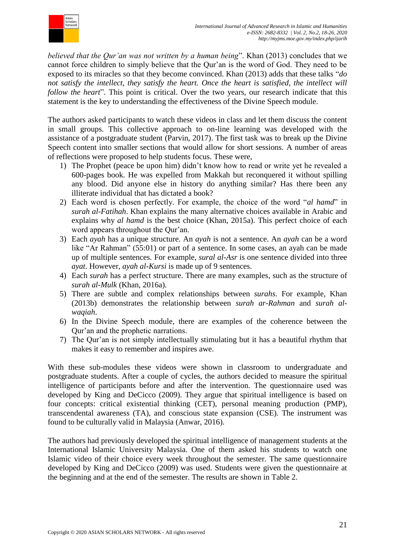

*believed that the Qur'an was not written by a human being*". Khan (2013) concludes that we cannot force children to simply believe that the Qur'an is the word of God. They need to be exposed to its miracles so that they become convinced. Khan (2013) adds that these talks "*do not satisfy the intellect, they satisfy the heart. Once the heart is satisfied, the intellect will follow the heart*". This point is critical. Over the two years, our research indicate that this statement is the key to understanding the effectiveness of the Divine Speech module.

The authors asked participants to watch these videos in class and let them discuss the content in small groups. This collective approach to on-line learning was developed with the assistance of a postgraduate student (Parvin, 2017). The first task was to break up the Divine Speech content into smaller sections that would allow for short sessions. A number of areas of reflections were proposed to help students focus. These were,

- 1) The Prophet (peace be upon him) didn't know how to read or write yet he revealed a 600-pages book. He was expelled from Makkah but reconquered it without spilling any blood. Did anyone else in history do anything similar? Has there been any illiterate individual that has dictated a book?
- 2) Each word is chosen perfectly. For example, the choice of the word "*al hamd*" in *surah al-Fatihah*. Khan explains the many alternative choices available in Arabic and explains why *al hamd* is the best choice (Khan, 2015a). This perfect choice of each word appears throughout the Qur'an.
- 3) Each *ayah* has a unique structure. An *ayah* is not a sentence. An *ayah* can be a word like "Ar Rahman" (55:01) or part of a sentence. In some cases, an ayah can be made up of multiple sentences. For example, *sural al-Asr* is one sentence divided into three *ayat*. However, *ayah al-Kursi* is made up of 9 sentences.
- 4) Each *surah* has a perfect structure. There are many examples, such as the structure of *surah al-Mulk* (Khan, 2016a).
- 5) There are subtle and complex relationships between *surahs*. For example, Khan (2013b) demonstrates the relationship between *surah ar-Rahman* and *surah alwaqiah*.
- 6) In the Divine Speech module, there are examples of the coherence between the Qur'an and the prophetic narrations.
- 7) The Qur'an is not simply intellectually stimulating but it has a beautiful rhythm that makes it easy to remember and inspires awe.

With these sub-modules these videos were shown in classroom to undergraduate and postgraduate students. After a couple of cycles, the authors decided to measure the spiritual intelligence of participants before and after the intervention. The questionnaire used was developed by King and DeCicco (2009). They argue that spiritual intelligence is based on four concepts: critical existential thinking (CET), personal meaning production (PMP), transcendental awareness (TA), and conscious state expansion (CSE). The instrument was found to be culturally valid in Malaysia (Anwar, 2016).

The authors had previously developed the spiritual intelligence of management students at the International Islamic University Malaysia. One of them asked his students to watch one Islamic video of their choice every week throughout the semester. The same questionnaire developed by King and DeCicco (2009) was used. Students were given the questionnaire at the beginning and at the end of the semester. The results are shown in Table 2.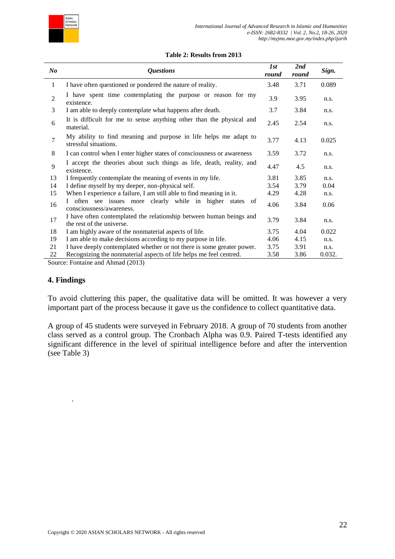

#### **Table 2: Results from 2013**

| $\bm{N}$       | <i><b>Questions</b></i>                                                                          | 1st<br>round | 2nd<br>round | Sign.  |
|----------------|--------------------------------------------------------------------------------------------------|--------------|--------------|--------|
| 1              | I have often questioned or pondered the nature of reality.                                       | 3.48         | 3.71         | 0.089  |
| $\overline{2}$ | I have spent time contemplating the purpose or reason for my<br>existence.                       | 3.9          | 3.95         | n.s.   |
| 3              | I am able to deeply contemplate what happens after death.                                        | 3.7          | 3.84         | n.s.   |
| 6              | It is difficult for me to sense anything other than the physical and<br>material.                | 2.45         | 2.54         | n.s.   |
| $\overline{7}$ | My ability to find meaning and purpose in life helps me adapt to<br>stressful situations.        | 3.77         | 4.13         | 0.025  |
| 8              | I can control when I enter higher states of consciousness or awareness                           | 3.59         | 3.72         | n.s.   |
| 9              | I accept the theories about such things as life, death, reality, and<br>existence.               | 4.47         | 4.5          | n.s.   |
| 13             | I frequently contemplate the meaning of events in my life.                                       | 3.81         | 3.85         | n.s.   |
| 14             | I define myself by my deeper, non-physical self.                                                 | 3.54         | 3.79         | 0.04   |
| 15             | When I experience a failure, I am still able to find meaning in it.                              | 4.29         | 4.28         | n.s.   |
| 16             | often see issues more clearly while in higher states of<br>consciousness/awareness.              | 4.06         | 3.84         | 0.06   |
| 17             | I have often contemplated the relationship between human beings and<br>the rest of the universe. | 3.79         | 3.84         | n.s.   |
| 18             | I am highly aware of the nonmaterial aspects of life.                                            | 3.75         | 4.04         | 0.022  |
| 19             | I am able to make decisions according to my purpose in life.                                     | 4.06         | 4.15         | n.s.   |
| 21             | I have deeply contemplated whether or not there is some greater power.                           | 3.75         | 3.91         | n.s.   |
| 22<br>$\sim$   | Recognizing the nonmaterial aspects of life helps me feel centred.                               | 3.58         | 3.86         | 0.032. |

Source: Fontaine and Ahmad (2013)

#### **4. Findings**

.

To avoid cluttering this paper, the qualitative data will be omitted. It was however a very important part of the process because it gave us the confidence to collect quantitative data.

A group of 45 students were surveyed in February 2018. A group of 70 students from another class served as a control group. The Cronbach Alpha was 0.9. Paired T-tests identified any significant difference in the level of spiritual intelligence before and after the intervention (see Table 3)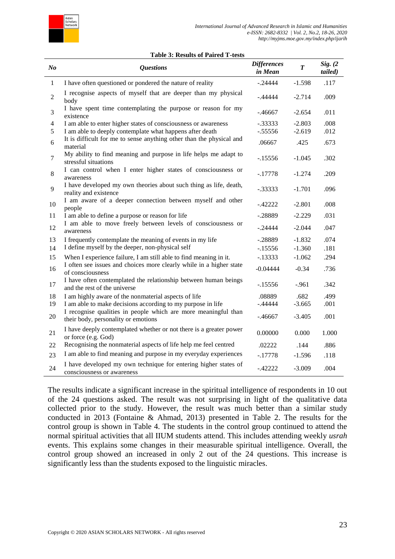

#### **Table 3: Results of Paired T-tests**

| $\mathbf{N}$ o | <b>Questions</b>                                                                                      | <b>Differences</b><br>in Mean | $\overline{\boldsymbol{T}}$ | Sig. (2)<br>tailed) |
|----------------|-------------------------------------------------------------------------------------------------------|-------------------------------|-----------------------------|---------------------|
| 1              | I have often questioned or pondered the nature of reality                                             | $-.24444$                     | $-1.598$                    | .117                |
| $\mathfrak{2}$ | I recognise aspects of myself that are deeper than my physical<br>body                                | $-0.44444$                    | $-2.714$                    | .009                |
| 3              | I have spent time contemplating the purpose or reason for my<br>existence                             | $-0.46667$                    | $-2.654$                    | .011                |
| $\overline{4}$ | I am able to enter higher states of consciousness or awareness                                        | $-.33333$                     | $-2.803$                    | .008                |
| 5              | I am able to deeply contemplate what happens after death                                              | $-.55556$                     | $-2.619$                    | .012                |
| 6              | It is difficult for me to sense anything other than the physical and<br>material                      | .06667                        | .425                        | .673                |
| 7              | My ability to find meaning and purpose in life helps me adapt to<br>stressful situations              | $-15556$                      | $-1.045$                    | .302                |
| 8              | I can control when I enter higher states of consciousness or<br>awareness                             | $-17778$                      | $-1.274$                    | .209                |
| 9              | I have developed my own theories about such thing as life, death,<br>reality and existence            | $-.33333$                     | $-1.701$                    | .096                |
| 10             | I am aware of a deeper connection between myself and other<br>people                                  | -.42222                       | $-2.801$                    | .008                |
| 11             | I am able to define a purpose or reason for life                                                      | $-.28889$                     | $-2.229$                    | .031                |
| 12             | I am able to move freely between levels of consciousness or<br>awareness                              | $-.24444$                     | $-2.044$                    | .047                |
| 13             | I frequently contemplate the meaning of events in my life                                             | $-.28889$                     | $-1.832$                    | .074                |
| 14             | I define myself by the deeper, non-physical self                                                      | $-15556$                      | $-1.360$                    | .181                |
| 15             | When I experience failure, I am still able to find meaning in it.                                     | $-13333$                      | $-1.062$                    | .294                |
| 16             | I often see issues and choices more clearly while in a higher state<br>of consciousness               | $-0.04444$                    | $-0.34$                     | .736                |
| 17             | I have often contemplated the relationship between human beings<br>and the rest of the universe       | -.15556                       | $-961$                      | .342                |
| 18             | I am highly aware of the nonmaterial aspects of life                                                  | .08889                        | .682                        | .499                |
| 19             | I am able to make decisions according to my purpose in life                                           | $-.44444$                     | $-3.665$                    | .001                |
| 20             | I recognise qualities in people which are more meaningful than<br>their body, personality or emotions | $-0.46667$                    | $-3.405$                    | .001                |
| 21             | I have deeply contemplated whether or not there is a greater power<br>or force (e.g. God)             | 0.00000                       | 0.000                       | 1.000               |
| 22             | Recognising the nonmaterial aspects of life help me feel centred                                      | .02222                        | .144                        | .886                |
| 23             | I am able to find meaning and purpose in my everyday experiences                                      | $-.17778$                     | $-1.596$                    | .118                |
| 24             | I have developed my own technique for entering higher states of<br>consciousness or awareness         | $-42222$                      | $-3.009$                    | .004                |

The results indicate a significant increase in the spiritual intelligence of respondents in 10 out of the 24 questions asked. The result was not surprising in light of the qualitative data collected prior to the study. However, the result was much better than a similar study conducted in 2013 (Fontaine & Ahmad, 2013) presented in Table 2. The results for the control group is shown in Table 4. The students in the control group continued to attend the normal spiritual activities that all IIUM students attend. This includes attending weekly *usrah* events. This explains some changes in their measurable spiritual intelligence. Overall, the control group showed an increased in only 2 out of the 24 questions. This increase is significantly less than the students exposed to the linguistic miracles.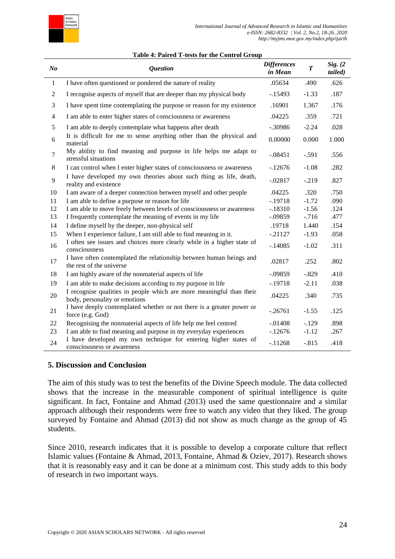

#### **Table 4: Paired T-tests for the Control Group**

| $N_{0}$        | <b>Question</b>                                                                                       | <b>Differences</b><br>in Mean | $\overline{T}$ | Sig. (2)<br>tailed) |
|----------------|-------------------------------------------------------------------------------------------------------|-------------------------------|----------------|---------------------|
| $\mathbf{1}$   | I have often questioned or pondered the nature of reality                                             | .05634                        | .490           | .626                |
| $\overline{c}$ | I recognise aspects of myself that are deeper than my physical body                                   | $-15493$                      | $-1.33$        | .187                |
| 3              | I have spent time contemplating the purpose or reason for my existence                                | .16901                        | 1.367          | .176                |
| 4              | I am able to enter higher states of consciousness or awareness                                        | .04225                        | .359           | .721                |
| 5              | I am able to deeply contemplate what happens after death                                              | $-.30986$                     | $-2.24$        | .028                |
| 6              | It is difficult for me to sense anything other than the physical and<br>material                      | 0.00000                       | 0.000          | 1.000               |
| 7              | My ability to find meaning and purpose in life helps me adapt to<br>stressful situations              | $-.08451$                     | $-.591$        | .556                |
| 8              | I can control when I enter higher states of consciousness or awareness                                | $-12676$                      | $-1.08$        | .282                |
| 9              | I have developed my own theories about such thing as life, death,<br>reality and existence            | $-.02817$                     | $-.219$        | .827                |
| 10             | I am aware of a deeper connection between myself and other people                                     | .04225                        | .320           | .750                |
| 11             | I am able to define a purpose or reason for life                                                      | $-.19718$                     | $-1.72$        | .090                |
| 12             | I am able to move freely between levels of consciousness or awareness                                 | $-.18310$                     | $-1.56$        | .124                |
| 13             | I frequently contemplate the meaning of events in my life                                             | $-.09859$                     | $-716$         | .477                |
| 14             | I define myself by the deeper, non-physical self                                                      | .19718                        | 1.440          | .154                |
| 15             | When I experience failure, I am still able to find meaning in it.                                     | $-21127$                      | $-1.93$        | .058                |
| 16             | I often see issues and choices more clearly while in a higher state of<br>consciousness               | $-.14085$                     | $-1.02$        | .311                |
| 17             | I have often contemplated the relationship between human beings and<br>the rest of the universe       | .02817                        | .252           | .802                |
| 18             | I am highly aware of the nonmaterial aspects of life                                                  | $-.09859$                     | $-.829$        | .410                |
| 19             | I am able to make decisions according to my purpose in life                                           | $-.19718$                     | $-2.11$        | .038                |
| 20             | I recognise qualities in people which are more meaningful than their<br>body, personality or emotions | .04225                        | .340           | .735                |
| 21             | I have deeply contemplated whether or not there is a greater power or<br>force (e.g. God)             | $-.26761$                     | $-1.55$        | .125                |
| 22             | Recognising the nonmaterial aspects of life help me feel centred                                      | $-.01408$                     | $-.129$        | .898                |
| 23             | I am able to find meaning and purpose in my everyday experiences                                      | $-12676$                      | $-1.12$        | .267                |
| 24             | I have developed my own technique for entering higher states of<br>consciousness or awareness         | $-11268$                      | $-.815$        | .418                |

## **5. Discussion and Conclusion**

The aim of this study was to test the benefits of the Divine Speech module. The data collected shows that the increase in the measurable component of spiritual intelligence is quite significant. In fact, Fontaine and Ahmad (2013) used the same questionnaire and a similar approach although their respondents were free to watch any video that they liked. The group surveyed by Fontaine and Ahmad (2013) did not show as much change as the group of 45 students.

Since 2010, research indicates that it is possible to develop a corporate culture that reflect Islamic values (Fontaine & Ahmad, 2013, Fontaine, Ahmad & Oziev, 2017). Research shows that it is reasonably easy and it can be done at a minimum cost. This study adds to this body of research in two important ways.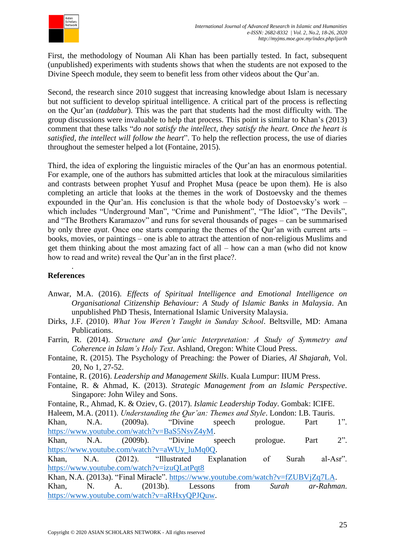

First, the methodology of Nouman Ali Khan has been partially tested. In fact, subsequent (unpublished) experiments with students shows that when the students are not exposed to the Divine Speech module, they seem to benefit less from other videos about the Qur'an.

Second, the research since 2010 suggest that increasing knowledge about Islam is necessary but not sufficient to develop spiritual intelligence. A critical part of the process is reflecting on the Qur'an (*taddabur*). This was the part that students had the most difficulty with. The group discussions were invaluable to help that process. This point is similar to Khan's (2013) comment that these talks "*do not satisfy the intellect, they satisfy the heart. Once the heart is satisfied, the intellect will follow the heart*". To help the reflection process, the use of diaries throughout the semester helped a lot (Fontaine, 2015).

Third, the idea of exploring the linguistic miracles of the Qur'an has an enormous potential. For example, one of the authors has submitted articles that look at the miraculous similarities and contrasts between prophet Yusuf and Prophet Musa (peace be upon them). He is also completing an article that looks at the themes in the work of Dostoevsky and the themes expounded in the Qur'an. His conclusion is that the whole body of Dostoevsky's work – which includes "Underground Man", "Crime and Punishment", "The Idiot", "The Devils", and "The Brothers Karamazov" and runs for several thousands of pages – can be summarised by only three *ayat*. Once one starts comparing the themes of the Qur'an with current arts – books, movies, or paintings – one is able to attract the attention of non-religious Muslims and get them thinking about the most amazing fact of all – how can a man (who did not know how to read and write) reveal the Qur'an in the first place?.

# **References**

.

- Anwar, M.A. (2016). *Effects of Spiritual Intelligence and Emotional Intelligence on Organisational Citizenship Behaviour: A Study of Islamic Banks in Malaysia*. An unpublished PhD Thesis, International Islamic University Malaysia.
- Dirks, J.F. (2010). *What You Weren't Taught in Sunday School*. Beltsville, MD: Amana Publications.
- Farrin, R. (2014). *Structure and Qur'anic Interpretation: A Study of Symmetry and Coherence in Islam's Holy Text*. Ashland, Oregon: White Cloud Press.
- Fontaine, R. (2015). The Psychology of Preaching: the Power of Diaries, *Al Shajarah*, Vol. 20, No 1, 27-52.
- Fontaine, R. (2016). *Leadership and Management Skills*. Kuala Lumpur: IIUM Press.
- Fontaine, R. & Ahmad, K. (2013). *Strategic Management from an Islamic Perspective*. Singapore: John Wiley and Sons.
- Fontaine, R., Ahmad, K. & Oziev, G. (2017). *Islamic Leadership Today*. Gombak: ICIFE.
- Haleem, M.A. (2011). *Understanding the Qur'an: Themes and Style*. London: I.B. Tauris.

Khan, N.A. (2009a). "Divine speech prologue. Part 1". [https://www.youtube.com/watch?v=BaS5NsvZ4yM.](https://www.youtube.com/watch?v=BaS5NsvZ4yM)

Khan, N.A. (2009b). "Divine speech prologue. Part 2". [https://www.youtube.com/watch?v=aWUy\\_luMq0Q.](https://www.youtube.com/watch?v=aWUy_luMq0Q)

Khan, N.A. (2012). "Illustrated Explanation of Surah al-Asr". <https://www.youtube.com/watch?v=izuQLatPqt8>

Khan, N.A. (2013a). "Final Miracle". [https://www.youtube.com/watch?v=fZUBVjZq7LA.](https://www.youtube.com/watch?v=fZUBVjZq7LA) Khan, N. A. (2013b). Lessons from *Surah ar-Rahman*. [https://www.youtube.com/watch?v=aRHxyQPJQuw.](https://www.youtube.com/watch?v=aRHxyQPJQuw)